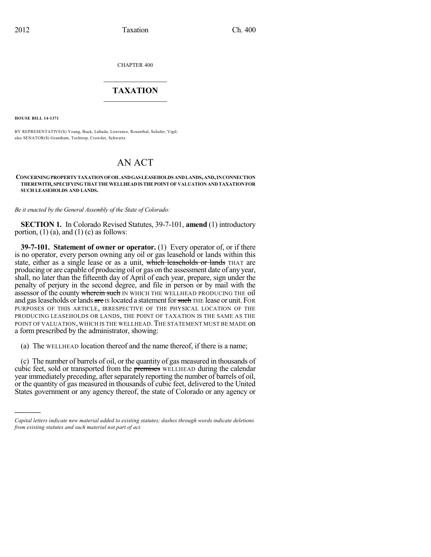CHAPTER 400

## $\mathcal{L}_\text{max}$  . The set of the set of the set of the set of the set of the set of the set of the set of the set of the set of the set of the set of the set of the set of the set of the set of the set of the set of the set **TAXATION**  $\_$

**HOUSE BILL 14-1371**

)))))

BY REPRESENTATIVE(S) Young, Buck, Labuda, Lawrence, Rosenthal, Schafer, Vigil; also SENATOR(S) Grantham, Tochtrop, Crowder, Schwartz.

## AN ACT

## **CONCERNINGPROPERTYTAXATIONOFOILANDGASLEASEHOLDS ANDLANDS,AND,INCONNECTION THEREWITH, SPECIFYINGTHATTHEWELLHEADISTHEPOINTOF VALUATION ANDTAXATIONFOR SUCH LEASEHOLDS AND LANDS.**

*Be it enacted by the General Assembly of the State of Colorado:*

**SECTION 1.** In Colorado Revised Statutes, 39-7-101, **amend** (1) introductory portion,  $(1)$   $(a)$ , and  $(1)$   $(c)$  as follows:

**39-7-101. Statement of owner or operator.** (1) Every operator of, or if there is no operator, every person owning any oil or gas leasehold or lands within this state, either as a single lease or as a unit, which leaseholds or lands THAT are producing or are capable of producing oil or gas on the assessment date of any year, shall, no later than the fifteenth day of April of each year, prepare, sign under the penalty of perjury in the second degree, and file in person or by mail with the assessor of the county wherein such IN WHICH THE WELLHEAD PRODUCING THE oil and gas leaseholds or lands are IS located a statement for such THE lease or unit. FOR PURPOSES OF THIS ARTICLE, IRRESPECTIVE OF THE PHYSICAL LOCATION OF THE PRODUCING LEASEHOLDS OR LANDS, THE POINT OF TAXATION IS THE SAME AS THE POINT OF VALUATION, WHICH IS THE WELLHEAD. THE STATEMENT MUST BE MADE ON a form prescribed by the administrator, showing:

(a) The WELLHEAD location thereof and the name thereof, if there is a name;

(c) The number of barrels of oil, or the quantity of gas measured in thousands of cubic feet, sold or transported from the premises WELLHEAD during the calendar year immediately preceding, after separately reporting the number of barrels of oil, or the quantity of gas measured in thousands of cubic feet, delivered to the United States government or any agency thereof, the state of Colorado or any agency or

*Capital letters indicate new material added to existing statutes; dashes through words indicate deletions from existing statutes and such material not part of act.*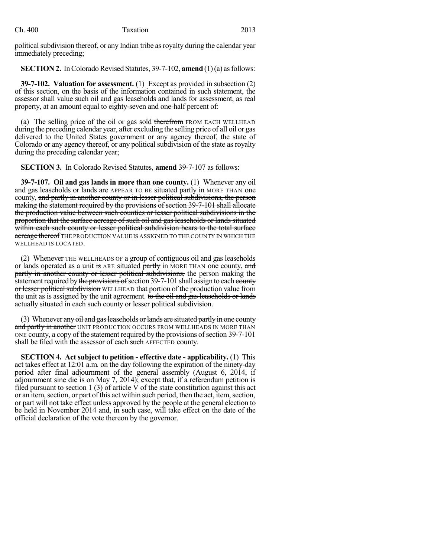political subdivision thereof, or any Indian tribe as royalty during the calendar year immediately preceding;

**SECTION 2.** In Colorado Revised Statutes, 39-7-102, **amend** (1)(a) as follows:

**39-7-102. Valuation for assessment.** (1) Except as provided in subsection (2) of this section, on the basis of the information contained in such statement, the assessor shall value such oil and gas leaseholds and lands for assessment, as real property, at an amount equal to eighty-seven and one-half percent of:

(a) The selling price of the oil or gas sold therefrom FROM EACH WELLHEAD during the preceding calendar year, after excluding the selling price of all oil or gas delivered to the United States government or any agency thereof, the state of Colorado or any agency thereof, or any political subdivision of the state as royalty during the preceding calendar year;

**SECTION 3.** In Colorado Revised Statutes, **amend** 39-7-107 as follows:

**39-7-107. Oil and gas lands in more than one county.** (1) Whenever any oil and gas leaseholds or lands are APPEAR TO BE situated partly in MORE THAN one county, and partly in another county or in lesser political subdivisions, the person making the statement required by the provisions of section 39-7-101 shall allocate the production value between such counties or lesser political subdivisions in the proportion that the surface acreage of such oil and gas leaseholds or lands situated within each such county or lesser political subdivision bears to the total surface acreage thereof THE PRODUCTION VALUE IS ASSIGNED TO THE COUNTY IN WHICH THE WELLHEAD IS LOCATED.

(2) Whenever THE WELLHEADS OF a group of contiguous oil and gas leaseholds or lands operated as a unit is ARE situated partly in MORE THAN one county, and partly in another county or lesser political subdivisions, the person making the statement required by the provisions of section 39-7-101 shall assign to each county or lesser political subdivision WELLHEAD that portion of the production value from the unit as is assigned by the unit agreement. to the oil and gas leaseholds or lands actually situated in each such county or lesser political subdivision.

(3) Whenever any oil and gas leaseholds or lands are situated partly in one county and partly in another UNIT PRODUCTION OCCURS FROM WELLHEADS IN MORE THAN ONE county, a copy of the statement required by the provisions of section 39-7-101 shall be filed with the assessor of each such AFFECTED county.

**SECTION 4. Act subject to petition - effective date - applicability.** (1) This act takes effect at 12:01 a.m. on the day following the expiration of the ninety-day period after final adjournment of the general assembly (August 6, 2014, if adjournment sine die is on May 7, 2014); except that, if a referendum petition is filed pursuant to section 1 (3) of article V of the state constitution against this act or an item, section, or part of this act within such period, then the act, item, section, or part will not take effect unless approved by the people at the general election to be held in November 2014 and, in such case, will take effect on the date of the official declaration of the vote thereon by the governor.